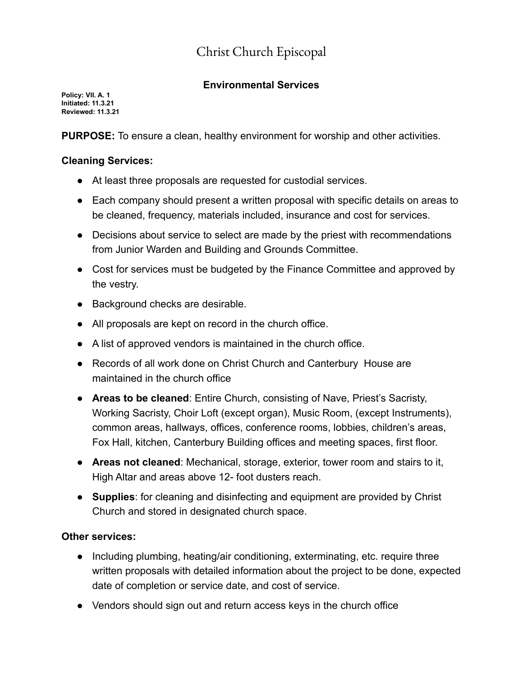## Christ Church Episcopal

## **Environmental Services**

**Policy: VII. A. 1 Initiated: 11.3.21 Reviewed: 11.3.21**

**PURPOSE:** To ensure a clean, healthy environment for worship and other activities.

## **Cleaning Services:**

- At least three proposals are requested for custodial services.
- Each company should present a written proposal with specific details on areas to be cleaned, frequency, materials included, insurance and cost for services.
- Decisions about service to select are made by the priest with recommendations from Junior Warden and Building and Grounds Committee.
- Cost for services must be budgeted by the Finance Committee and approved by the vestry.
- Background checks are desirable.
- All proposals are kept on record in the church office.
- A list of approved vendors is maintained in the church office.
- Records of all work done on Christ Church and Canterbury House are maintained in the church office
- **Areas to be cleaned**: Entire Church, consisting of Nave, Priest's Sacristy, Working Sacristy, Choir Loft (except organ), Music Room, (except Instruments), common areas, hallways, offices, conference rooms, lobbies, children's areas, Fox Hall, kitchen, Canterbury Building offices and meeting spaces, first floor.
- **Areas not cleaned**: Mechanical, storage, exterior, tower room and stairs to it, High Altar and areas above 12- foot dusters reach.
- **Supplies**: for cleaning and disinfecting and equipment are provided by Christ Church and stored in designated church space.

## **Other services:**

- Including plumbing, heating/air conditioning, exterminating, etc. require three written proposals with detailed information about the project to be done, expected date of completion or service date, and cost of service.
- Vendors should sign out and return access keys in the church office